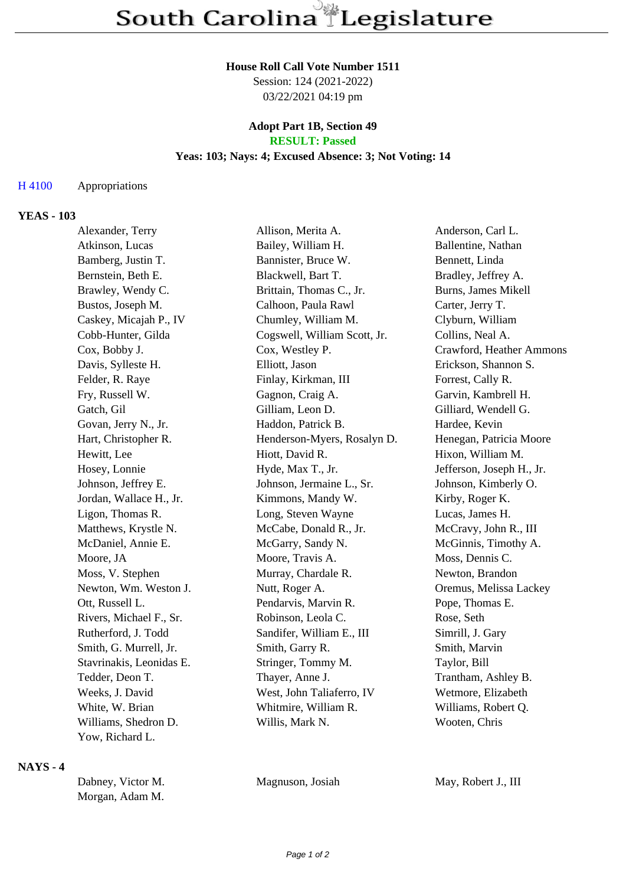#### **House Roll Call Vote Number 1511**

Session: 124 (2021-2022) 03/22/2021 04:19 pm

#### **Adopt Part 1B, Section 49 RESULT: Passed**

# **Yeas: 103; Nays: 4; Excused Absence: 3; Not Voting: 14**

#### H 4100 Appropriations

## **YEAS - 103**

| Alexander, Terry         | Allison, Merita A.           | Anderson, Carl L.         |
|--------------------------|------------------------------|---------------------------|
| Atkinson, Lucas          | Bailey, William H.           | Ballentine, Nathan        |
| Bamberg, Justin T.       | Bannister, Bruce W.          | Bennett, Linda            |
| Bernstein, Beth E.       | Blackwell, Bart T.           | Bradley, Jeffrey A.       |
| Brawley, Wendy C.        | Brittain, Thomas C., Jr.     | Burns, James Mikell       |
| Bustos, Joseph M.        | Calhoon, Paula Rawl          | Carter, Jerry T.          |
| Caskey, Micajah P., IV   | Chumley, William M.          | Clyburn, William          |
| Cobb-Hunter, Gilda       | Cogswell, William Scott, Jr. | Collins, Neal A.          |
| Cox, Bobby J.            | Cox, Westley P.              | Crawford, Heather Ammons  |
| Davis, Sylleste H.       | Elliott, Jason               | Erickson, Shannon S.      |
| Felder, R. Raye          | Finlay, Kirkman, III         | Forrest, Cally R.         |
| Fry, Russell W.          | Gagnon, Craig A.             | Garvin, Kambrell H.       |
| Gatch, Gil               | Gilliam, Leon D.             | Gilliard, Wendell G.      |
| Govan, Jerry N., Jr.     | Haddon, Patrick B.           | Hardee, Kevin             |
| Hart, Christopher R.     | Henderson-Myers, Rosalyn D.  | Henegan, Patricia Moore   |
| Hewitt, Lee              | Hiott, David R.              | Hixon, William M.         |
| Hosey, Lonnie            | Hyde, Max T., Jr.            | Jefferson, Joseph H., Jr. |
| Johnson, Jeffrey E.      | Johnson, Jermaine L., Sr.    | Johnson, Kimberly O.      |
| Jordan, Wallace H., Jr.  | Kimmons, Mandy W.            | Kirby, Roger K.           |
| Ligon, Thomas R.         | Long, Steven Wayne           | Lucas, James H.           |
| Matthews, Krystle N.     | McCabe, Donald R., Jr.       | McCravy, John R., III     |
| McDaniel, Annie E.       | McGarry, Sandy N.            | McGinnis, Timothy A.      |
| Moore, JA                | Moore, Travis A.             | Moss, Dennis C.           |
| Moss, V. Stephen         | Murray, Chardale R.          | Newton, Brandon           |
| Newton, Wm. Weston J.    | Nutt, Roger A.               | Oremus, Melissa Lackey    |
| Ott, Russell L.          | Pendarvis, Marvin R.         | Pope, Thomas E.           |
| Rivers, Michael F., Sr.  | Robinson, Leola C.           | Rose, Seth                |
| Rutherford, J. Todd      | Sandifer, William E., III    | Simrill, J. Gary          |
| Smith, G. Murrell, Jr.   | Smith, Garry R.              | Smith, Marvin             |
| Stavrinakis, Leonidas E. | Stringer, Tommy M.           | Taylor, Bill              |
| Tedder, Deon T.          | Thayer, Anne J.              | Trantham, Ashley B.       |
| Weeks, J. David          | West, John Taliaferro, IV    | Wetmore, Elizabeth        |
| White, W. Brian          | Whitmire, William R.         | Williams, Robert Q.       |
| Williams, Shedron D.     | Willis, Mark N.              | Wooten, Chris             |
| Yow, Richard L.          |                              |                           |

### **NAYS - 4**

| Dabney, Victor M. |
|-------------------|
| Morgan, Adam M.   |

Magnuson, Josiah May, Robert J., III